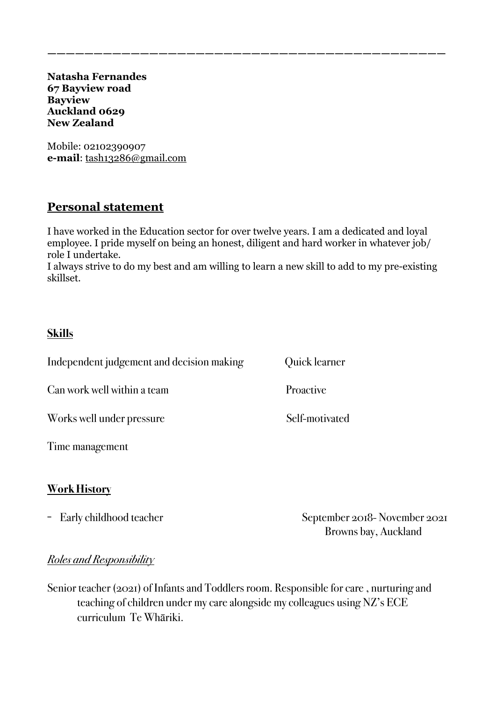**Natasha Fernandes 67 Bayview road Bayview Auckland 0629 New Zealand** 

Mobile: 02102390907 **e-mail**: [tash13286@gmail.com](mailto:tash13286@gmail.com) 

## **Personal statement**

I have worked in the Education sector for over twelve years. I am a dedicated and loyal employee. I pride myself on being an honest, diligent and hard worker in whatever job/ role I undertake.

**———————————————————————————————————————————** 

I always strive to do my best and am willing to learn a new skill to add to my pre-existing skillset.

#### **Skills**

Independent judgement and decision making Quick learner Can work well within a team Proactive Works well under pressure Self-motivated

Time management

#### **Work History**

- Early childhood teacher September 2018- November 2021 Browns bay, Auckland

#### *Roles and Responsibility*

Senior teacher (2021) of Infants and Toddlers room. Responsible for care , nurturing and teaching of children under my care alongside my colleagues using NZ's ECE curriculum Te Whāriki.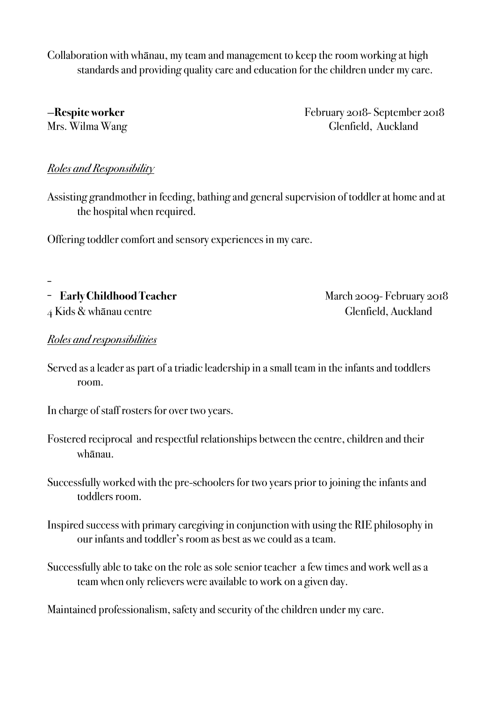Collaboration with whānau, my team and management to keep the room working at high standards and providing quality care and education for the children under my care.

—**Respite worker** February 2018- September 2018 Mrs. Wilma Wang Glenfield, Auckland

### *Roles and Responsibility*

Assisting grandmother in feeding, bathing and general supervision of toddler at home and at the hospital when required.

Offering toddler comfort and sensory experiences in my care.

-

- **Early Childhood Teacher** March 2009- February 2018 4 Kids & whānau centre Glenfield, Auckland

#### *Roles and responsibilities*

- Served as a leader as part of a triadic leadership in a small team in the infants and toddlers room.
- In charge of staff rosters for over two years.
- Fostered reciprocal and respectful relationships between the centre, children and their whānau.
- Successfully worked with the pre-schoolers for two years prior to joining the infants and toddlers room.
- Inspired success with primary caregiving in conjunction with using the RIE philosophy in our infants and toddler's room as best as we could as a team.
- Successfully able to take on the role as sole senior teacher a few times and work well as a team when only relievers were available to work on a given day.

Maintained professionalism, safety and security of the children under my care.